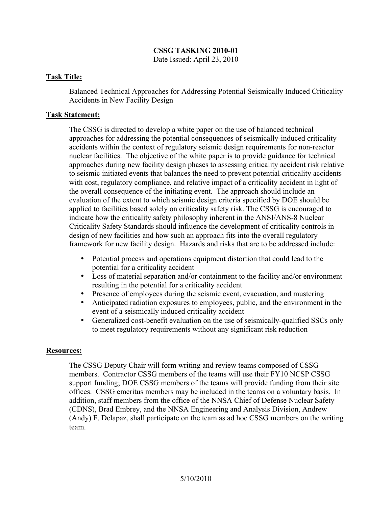# **CSSG TASKING 2010-01**

Date Issued: April 23, 2010

### **Task Title:**

Balanced Technical Approaches for Addressing Potential Seismically Induced Criticality Accidents in New Facility Design

### **Task Statement:**

The CSSG is directed to develop a white paper on the use of balanced technical approaches for addressing the potential consequences of seismically-induced criticality accidents within the context of regulatory seismic design requirements for non-reactor nuclear facilities. The objective of the white paper is to provide guidance for technical approaches during new facility design phases to assessing criticality accident risk relative to seismic initiated events that balances the need to prevent potential criticality accidents with cost, regulatory compliance, and relative impact of a criticality accident in light of the overall consequence of the initiating event. The approach should include an evaluation of the extent to which seismic design criteria specified by DOE should be applied to facilities based solely on criticality safety risk. The CSSG is encouraged to indicate how the criticality safety philosophy inherent in the ANSI/ANS-8 Nuclear Criticality Safety Standards should influence the development of criticality controls in design of new facilities and how such an approach fits into the overall regulatory framework for new facility design. Hazards and risks that are to be addressed include:

- Potential process and operations equipment distortion that could lead to the potential for a criticality accident
- Loss of material separation and/or containment to the facility and/or environment resulting in the potential for a criticality accident
- Presence of employees during the seismic event, evacuation, and mustering
- Anticipated radiation exposures to employees, public, and the environment in the event of a seismically induced criticality accident
- Generalized cost-benefit evaluation on the use of seismically-qualified SSCs only to meet regulatory requirements without any significant risk reduction

## **Resources:**

The CSSG Deputy Chair will form writing and review teams composed of CSSG members. Contractor CSSG members of the teams will use their FY10 NCSP CSSG support funding; DOE CSSG members of the teams will provide funding from their site offices. CSSG emeritus members may be included in the teams on a voluntary basis. In addition, staff members from the office of the NNSA Chief of Defense Nuclear Safety (CDNS), Brad Embrey, and the NNSA Engineering and Analysis Division, Andrew (Andy) F. Delapaz, shall participate on the team as ad hoc CSSG members on the writing team.